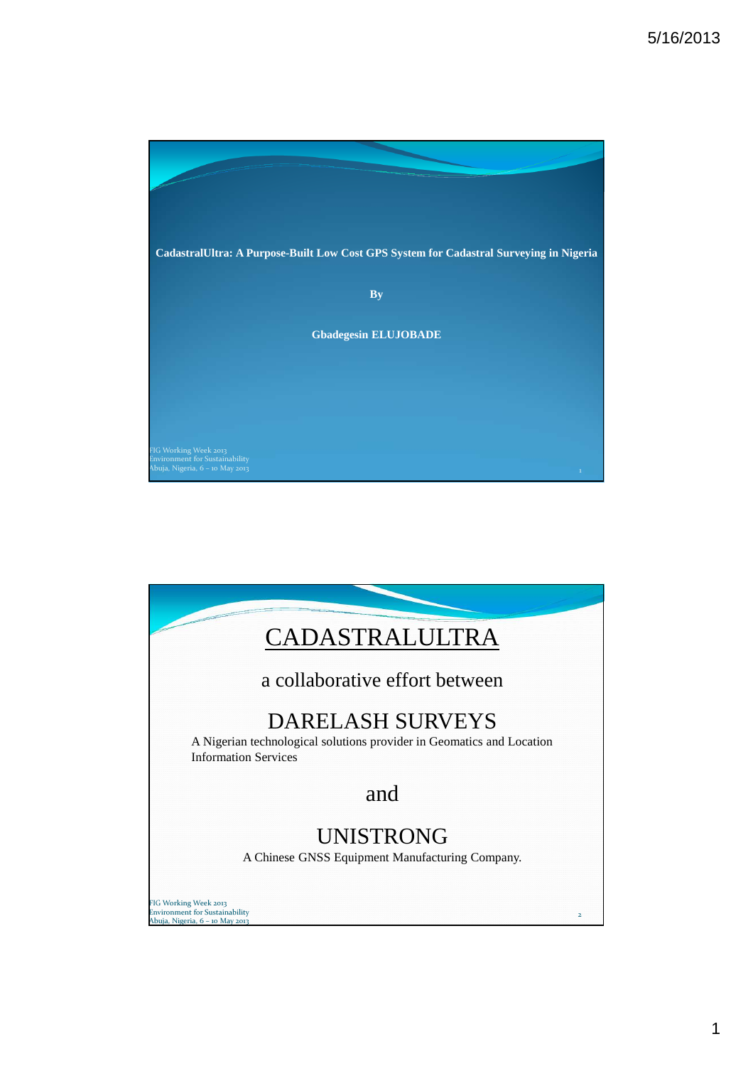

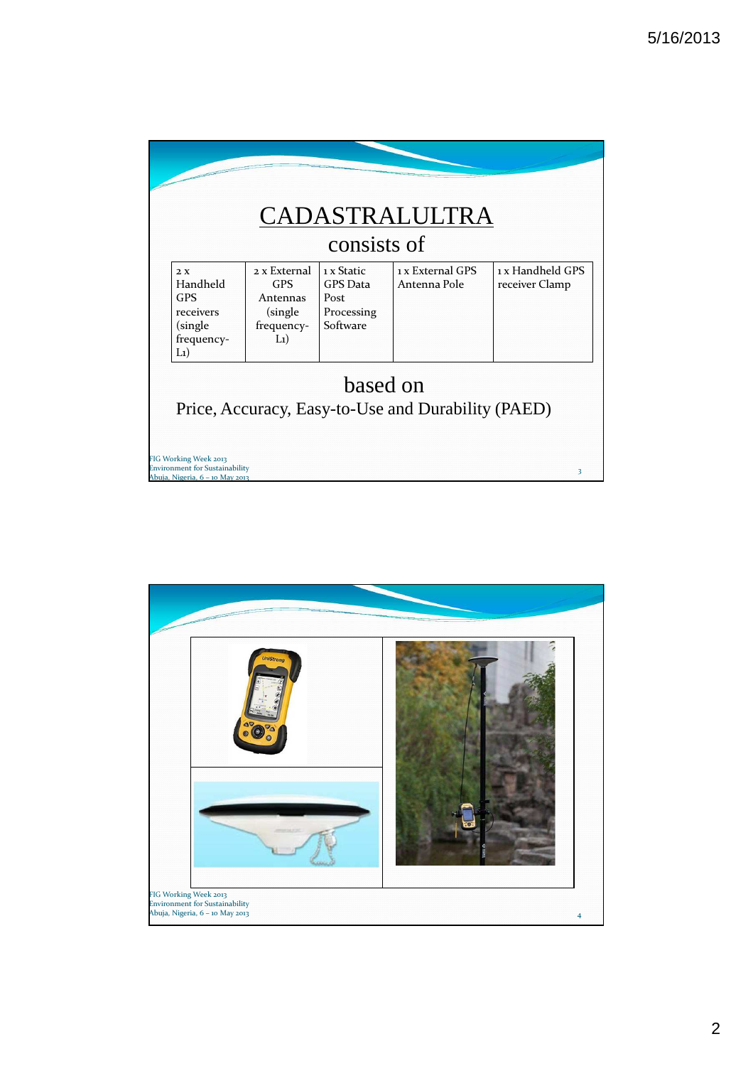| consists of                                                                    |                                                                            |                                                                 |                                  |                                    |  |  |
|--------------------------------------------------------------------------------|----------------------------------------------------------------------------|-----------------------------------------------------------------|----------------------------------|------------------------------------|--|--|
| 2. X<br>Handheld<br><b>GPS</b><br>receivers<br>(single)<br>frequency-<br>$L_1$ | $2x$ External<br><b>GPS</b><br>Antennas<br>(single)<br>frequency-<br>$L_1$ | 1 x Static<br><b>GPS</b> Data<br>Post<br>Processing<br>Software | 1 x External GPS<br>Antenna Pole | 1 x Handheld GPS<br>receiver Clamp |  |  |
|                                                                                |                                                                            | based on                                                        |                                  |                                    |  |  |

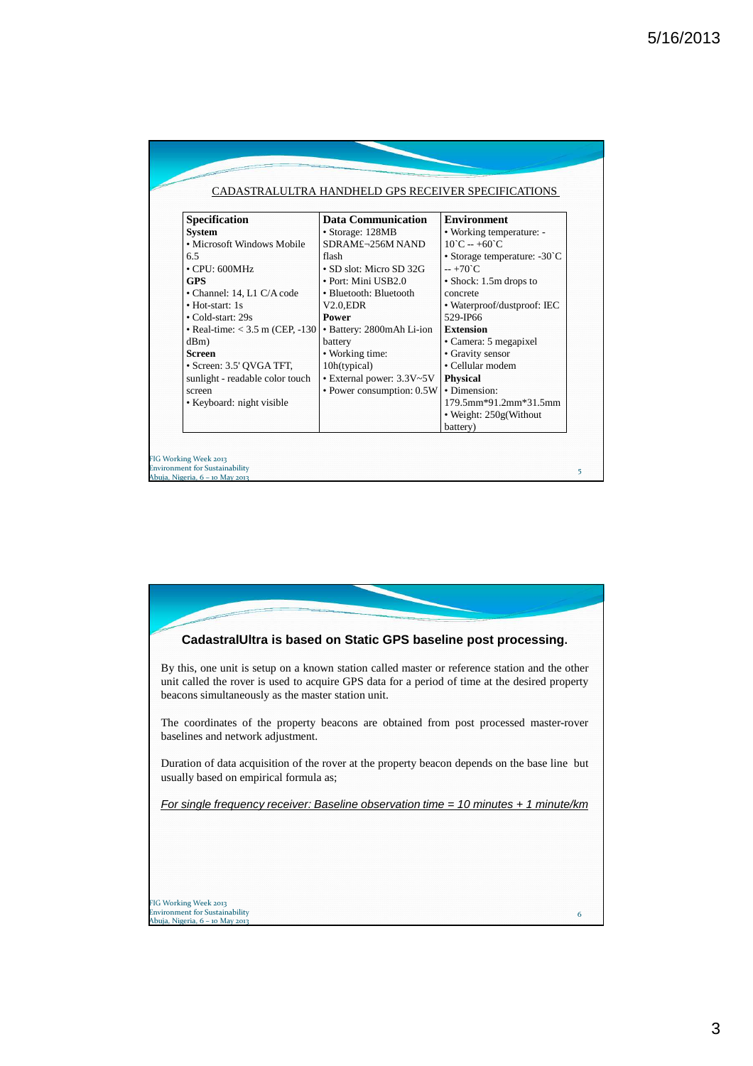|                                          |                           | CADASTRALULTRA HANDHELD GPS RECEIVER SPECIFICATIONS |
|------------------------------------------|---------------------------|-----------------------------------------------------|
| Specification                            | <b>Data Communication</b> | <b>Environment</b>                                  |
| <b>System</b>                            | • Storage: 128MB          | • Working temperature: -                            |
| • Microsoft Windows Mobile               | SDRAM£¬256M NAND          | $10^{\circ}$ C -- +60 $^{\circ}$ C                  |
| 6.5                                      | flash                     | • Storage temperature: -30°C                        |
| $\cdot$ CPU: 600MHz                      | • SD slot: Micro SD 32G   | $-+70^{\circ}C$                                     |
| <b>GPS</b>                               | • Port: Mini USB2.0       | • Shock: 1.5m drops to                              |
| • Channel: 14, L1 C/A code               | • Bluetooth: Bluetooth    | concrete                                            |
| • Hot-start: 1s                          | $V2.0$ , EDR              | • Waterproof/dustproof: IEC                         |
| • Cold-start: 29s                        | <b>Power</b>              | 529-JP66                                            |
| $\bullet$ Real-time: < 3.5 m (CEP, -130) | • Battery: 2800mAh Li-ion | <b>Extension</b>                                    |
| dBm)                                     | battery                   | • Camera: 5 megapixel                               |
| <b>Screen</b>                            | • Working time:           | • Gravity sensor                                    |
| · Screen: 3.5' QVGA TFT,                 | 10h(typical)              | • Cellular modem                                    |
| sunlight - readable color touch          | • External power: 3.3V~5V | <b>Physical</b>                                     |
| screen                                   | • Power consumption: 0.5W | · Dimension:                                        |
| • Keyboard: night visible                |                           | 179.5mm*91.2mm*31.5mm                               |
|                                          |                           | • Weight: 250g(Without                              |
|                                          |                           | battery)                                            |

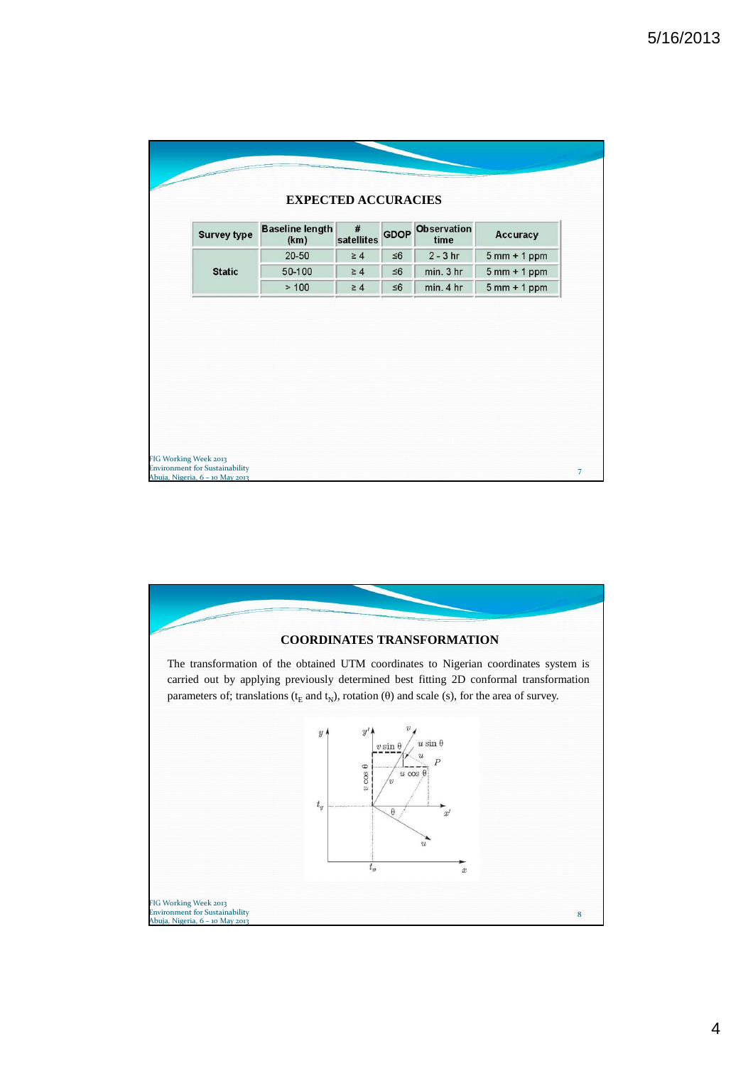| <b>Survey type</b> | <b>Baseline length</b><br>(km) | $\#$<br>satellites   |                      | <b>GDOP</b> Observation<br>time | Accuracy                       |
|--------------------|--------------------------------|----------------------|----------------------|---------------------------------|--------------------------------|
| <b>Static</b>      | $20 - 50$<br>50-100            | $\geq 4$<br>$\geq 4$ | $\leq 6$<br>$\leq 6$ | $2 - 3$ hr<br>min. 3 hr         | $5mm + 1 ppm$<br>$5mm + 1 ppm$ |
|                    | >100                           | $\geq 4$             | $\leq 6$             | min. 4 hr                       | $5mm + 1 ppm$                  |
|                    |                                |                      |                      |                                 |                                |

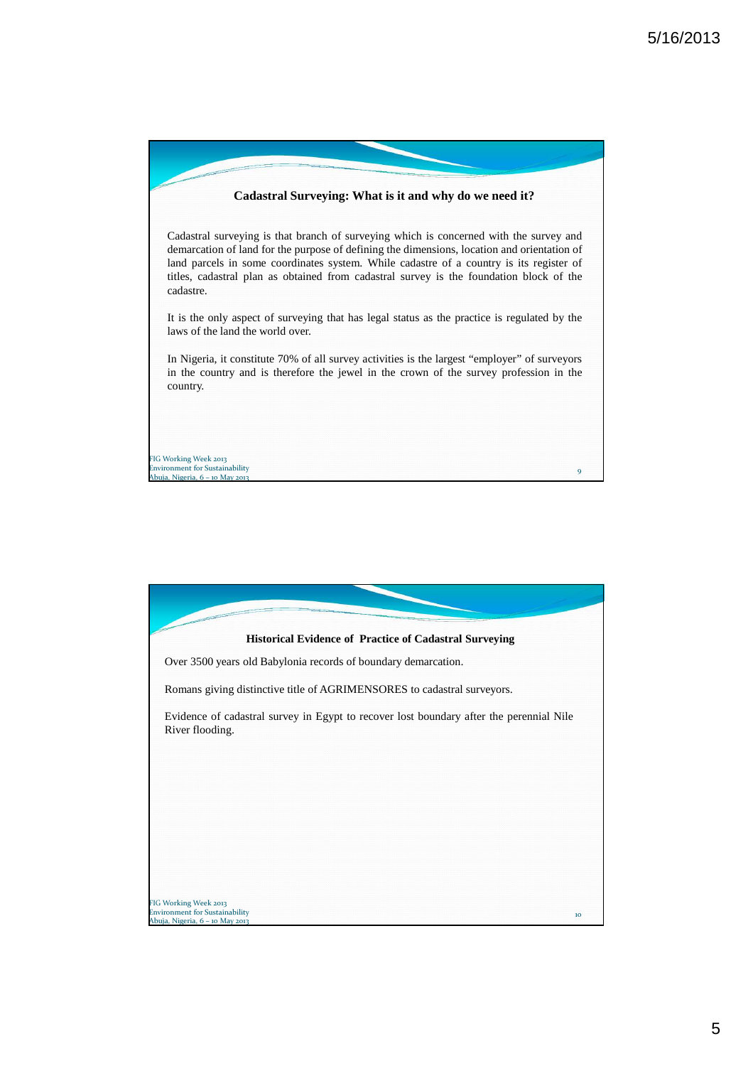

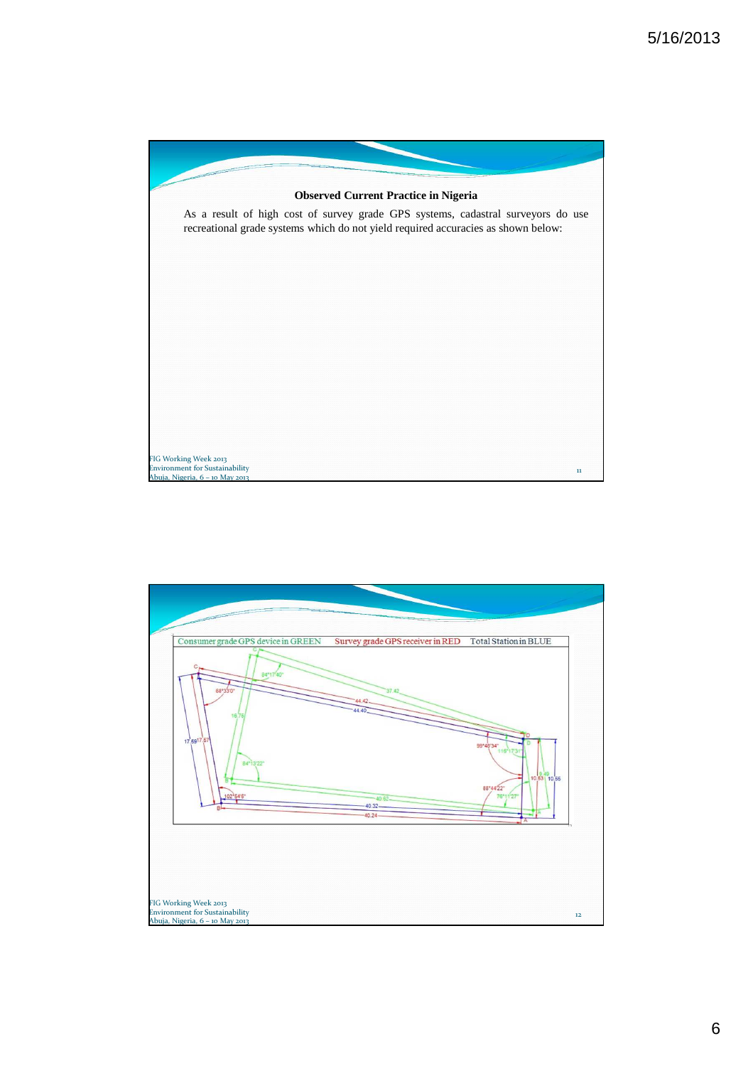

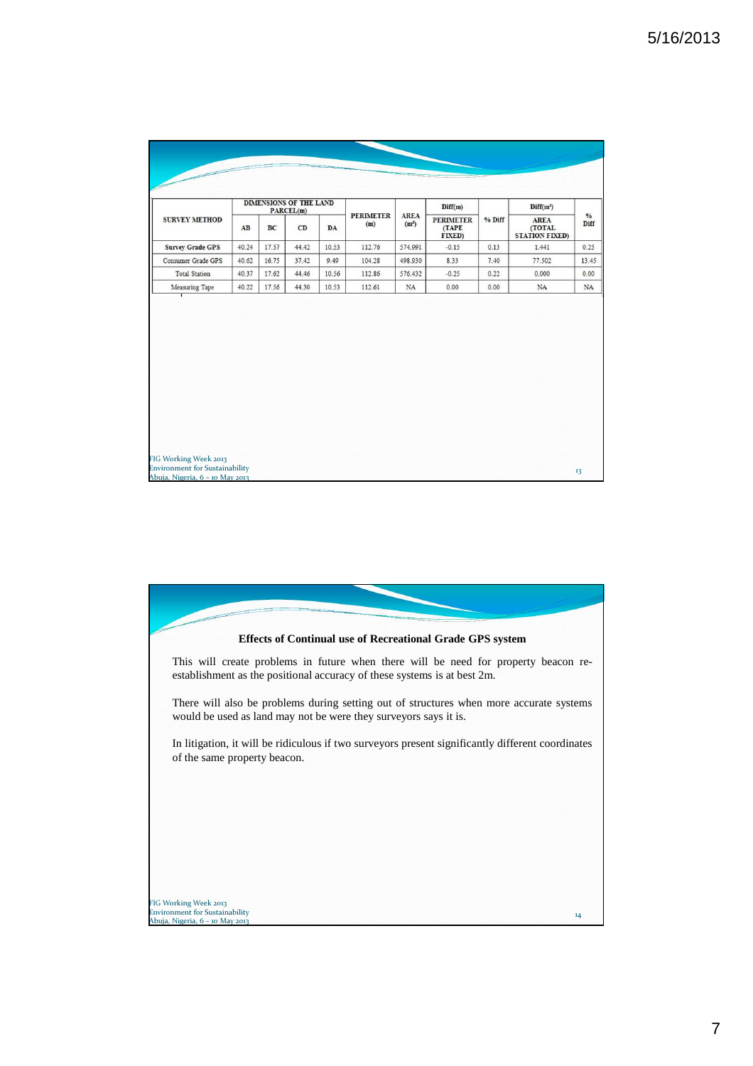| <b>SURVEY METHOD</b>    |       |       | <b>DIMENSIONS OF THE LAND</b><br>PARCEL(m) |       | <b>PERIMETER</b><br>(m) | <b>AREA</b><br>(m <sup>2</sup> ) | Diff(m)<br><b>PERIMETER</b><br>(TAPE<br>FIXED) | % Diff | Diff(m <sup>2</sup> )<br><b>AREA</b><br>(TOTAL<br><b>STATION FIXED)</b> | $\frac{0}{0}$<br>Diff |
|-------------------------|-------|-------|--------------------------------------------|-------|-------------------------|----------------------------------|------------------------------------------------|--------|-------------------------------------------------------------------------|-----------------------|
|                         | AB    | BC    | CD                                         | DA    |                         |                                  |                                                |        |                                                                         |                       |
| <b>Survey Grade GPS</b> | 40.24 | 17.57 | 44.42                                      | 10.53 | 112.76                  | 574.991                          | $-0.15$                                        | 0.13   | 1.441                                                                   | 0.25                  |
| Consumer Grade GPS      | 40.62 | 16.75 | 37.42                                      | 9.49  | 104.28                  | 498.930                          | 8.33                                           | 7.40   | 77.502                                                                  | 13.45                 |
| <b>Total Station</b>    | 40.37 | 17.62 | 44.46                                      | 10.56 | 112.86                  | 576.432                          | $-0.25$                                        | 0.22   | 0.000                                                                   | 0.00                  |
| Measuring Tape          | 40.22 | 17.56 | 44.30                                      | 10.53 | 112.61                  | NA                               | 0.00                                           | 0.00   | NA                                                                      | $_{\rm NA}$           |
|                         |       |       |                                            |       |                         |                                  |                                                |        |                                                                         |                       |
|                         |       |       |                                            |       |                         |                                  |                                                |        |                                                                         |                       |

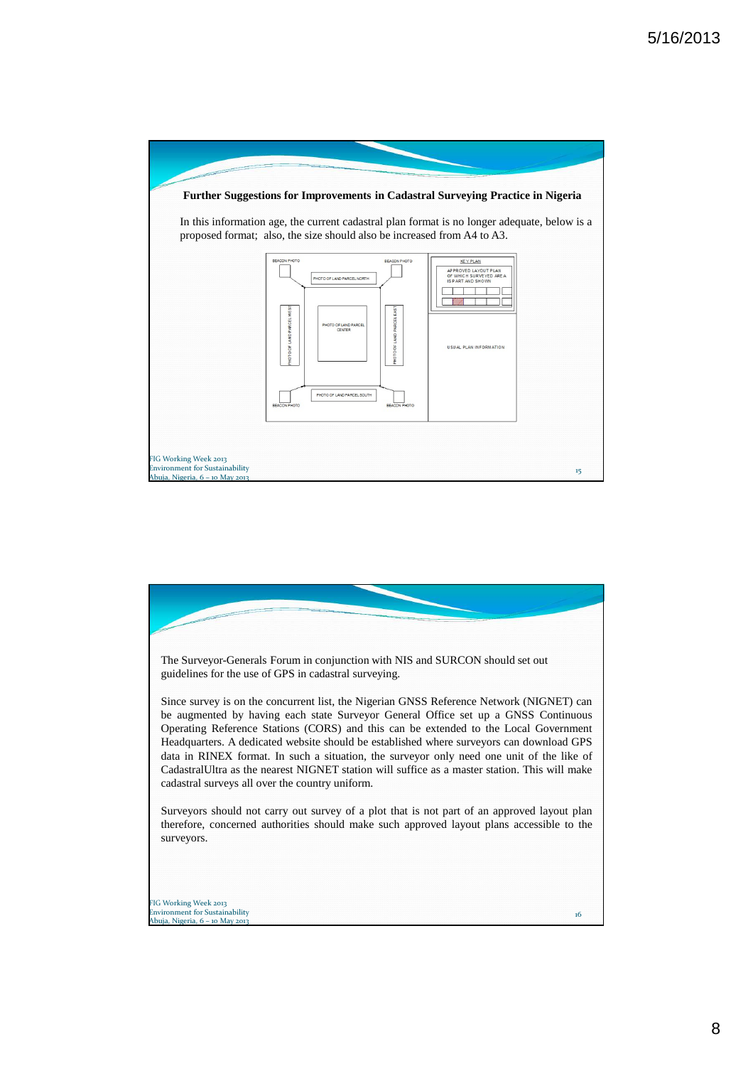